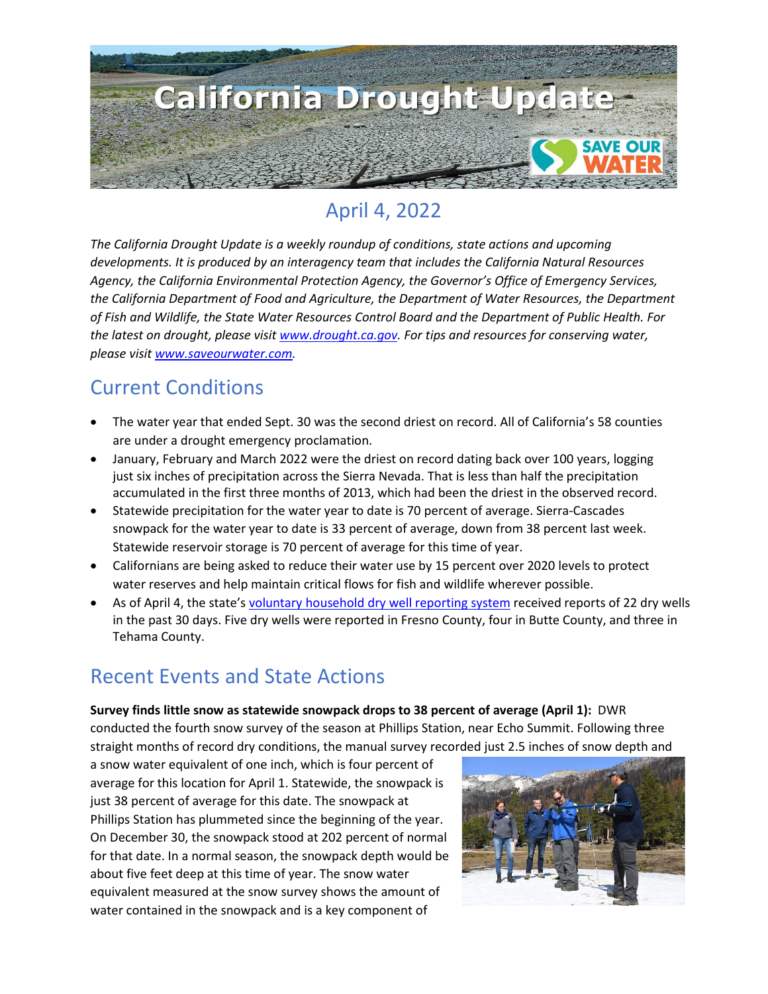

## April 4, 2022

*The California Drought Update is a weekly roundup of conditions, state actions and upcoming developments. It is produced by an interagency team that includes the California Natural Resources Agency, the California Environmental Protection Agency, the Governor's Office of Emergency Services, the California Department of Food and Agriculture, the Department of Water Resources, the Department of Fish and Wildlife, the State Water Resources Control Board and the Department of Public Health. For the latest on drought, please visit [www.drought.ca.gov.](http://www.drought.ca.gov/) For tips and resources for conserving water, please visit [www.saveourwater.com.](http://www.saveourwater.com/)*

### Current Conditions

- The water year that ended Sept. 30 was the second driest on record. All of California's 58 counties are under a drought emergency proclamation.
- January, February and March 2022 were the driest on record dating back over 100 years, logging just six inches of precipitation across the Sierra Nevada. That is less than half the precipitation accumulated in the first three months of 2013, which had been the driest in the observed record.
- Statewide precipitation for the water year to date is 70 percent of average. Sierra-Cascades snowpack for the water year to date is 33 percent of average, down from 38 percent last week. Statewide reservoir storage is 70 percent of average for this time of year.
- Californians are being asked to reduce their water use by 15 percent over 2020 levels to protect water reserves and help maintain critical flows for fish and wildlife wherever possible.
- As of April 4, the state'[s voluntary household dry well reporting system](https://mydrywell.water.ca.gov/report/) received reports of 22 dry wells in the past 30 days. Five dry wells were reported in Fresno County, four in Butte County, and three in Tehama County.

## Recent Events and State Actions

#### **Survey finds little snow as statewide snowpack drops to 38 percent of average (April 1):** DWR conducted the fourth snow survey of the season at Phillips Station, near Echo Summit. Following three straight months of record dry conditions, the manual survey recorded just 2.5 inches of snow depth and

a snow water equivalent of one inch, which is four percent of average for this location for April 1. Statewide, the snowpack is just 38 percent of average for this date. The snowpack at Phillips Station has plummeted since the beginning of the year. On December 30, the snowpack stood at 202 percent of normal for that date. In a normal season, the snowpack depth would be about five feet deep at this time of year. The snow water equivalent measured at the snow survey shows the amount of water contained in the snowpack and is a key component of

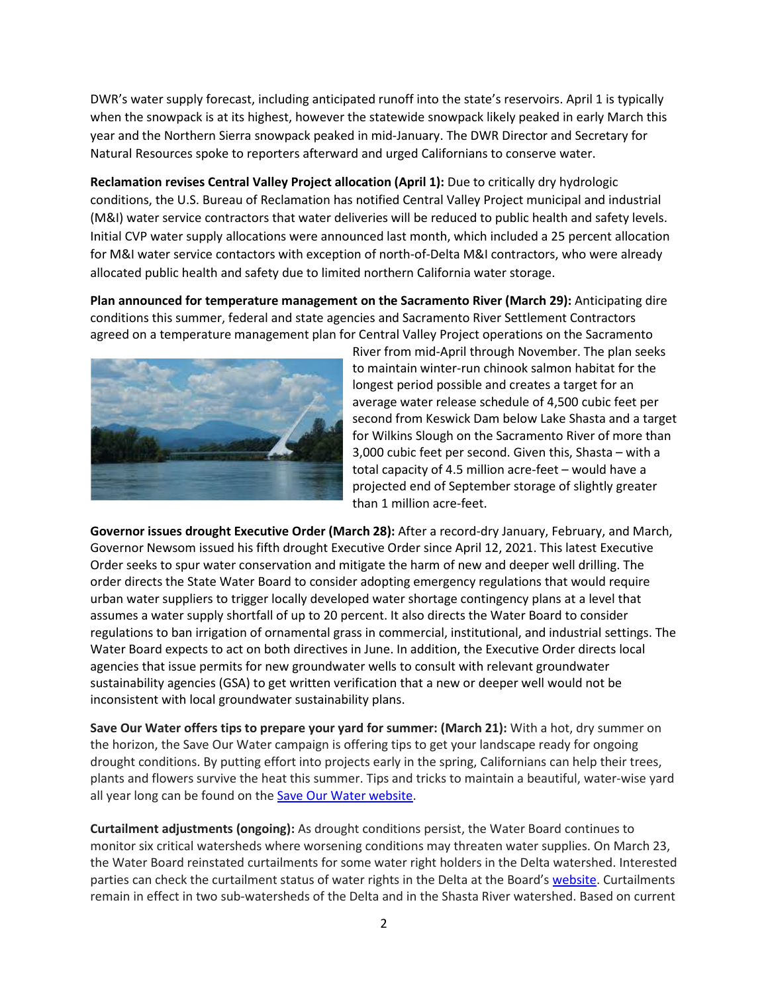DWR's water supply forecast, including anticipated runoff into the state's reservoirs. April 1 is typically when the snowpack is at its highest, however the statewide snowpack likely peaked in early March this year and the Northern Sierra snowpack peaked in mid-January. The DWR Director and Secretary for Natural Resources spoke to reporters afterward and urged Californians to conserve water.

**Reclamation revises Central Valley Project allocation (April 1):** Due to critically dry hydrologic conditions, the U.S. Bureau of Reclamation has notified Central Valley Project municipal and industrial (M&I) water service contractors that water deliveries will be reduced to public health and safety levels. Initial CVP water supply allocations were announced last month, which included a 25 percent allocation for M&I water service contactors with exception of north-of-Delta M&I contractors, who were already allocated public health and safety due to limited northern California water storage.

**Plan announced for temperature management on the Sacramento River (March 29):** Anticipating dire conditions this summer, federal and state agencies and Sacramento River Settlement Contractors agreed on a temperature management plan for Central Valley Project operations on the Sacramento



River from mid-April through November. The plan seeks to maintain winter-run chinook salmon habitat for the longest period possible and creates a target for an average water release schedule of 4,500 cubic feet per second from Keswick Dam below Lake Shasta and a target for Wilkins Slough on the Sacramento River of more than 3,000 cubic feet per second. Given this, Shasta – with a total capacity of 4.5 million acre-feet – would have a projected end of September storage of slightly greater than 1 million acre-feet.

**Governor issues drought Executive Order (March 28):** After a record-dry January, February, and March, Governor Newsom issued his fifth drought Executive Order since April 12, 2021. This latest Executive Order seeks to spur water conservation and mitigate the harm of new and deeper well drilling. The order directs the State Water Board to consider adopting emergency regulations that would require urban water suppliers to trigger locally developed water shortage contingency plans at a level that assumes a water supply shortfall of up to 20 percent. It also directs the Water Board to consider regulations to ban irrigation of ornamental grass in commercial, institutional, and industrial settings. The Water Board expects to act on both directives in June. In addition, the Executive Order directs local agencies that issue permits for new groundwater wells to consult with relevant groundwater sustainability agencies (GSA) to get written verification that a new or deeper well would not be inconsistent with local groundwater sustainability plans.

**Save Our Water offers tips to prepare your yard for summer: (March 21):** With a hot, dry summer on the horizon, the Save Our Water campaign is offering tips to get your landscape ready for ongoing drought conditions. By putting effort into projects early in the spring, Californians can help their trees, plants and flowers survive the heat this summer. Tips and tricks to maintain a beautiful, water-wise yard all year long can be found on the [Save Our Water website.](https://saveourwater.com/News-and-Events/Latest-News/Here-Are-the-Tips-You-Need-to-Prepare-Your-Yard-for-Summer)

**Curtailment adjustments (ongoing):** As drought conditions persist, the Water Board continues to monitor six critical watersheds where worsening conditions may threaten water supplies. On March 23, the Water Board reinstated curtailments for some water right holders in the Delta watershed. Interested parties can check the curtailment status of water rights in the Delta at the Board'[s website.](https://www.waterboards.ca.gov/drought/regional-drought-response/) Curtailments remain in effect in two sub-watersheds of the Delta and in the Shasta River watershed. Based on current